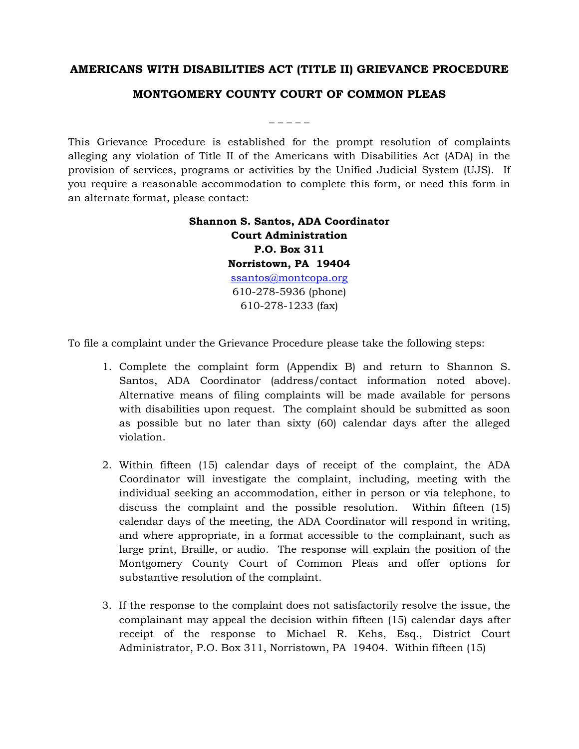## **AMERICANS WITH DISABILITIES ACT (TITLE II) GRIEVANCE PROCEDURE**

## **MONTGOMERY COUNTY COURT OF COMMON PLEAS**

This Grievance Procedure is established for the prompt resolution of complaints alleging any violation of Title II of the Americans with Disabilities Act (ADA) in the provision of services, programs or activities by the Unified Judicial System (UJS). If you require a reasonable accommodation to complete this form, or need this form in an alternate format, please contact:

## **Shannon S. Santos, ADA Coordinator Court Administration P.O. Box 311 Norristown, PA 19404** [ssantos@montcopa.org](mailto:ssantos@montcopa.org) 610-278-5936 (phone) 610-278-1233 (fax)

To file a complaint under the Grievance Procedure please take the following steps:

- 1. Complete the complaint form (Appendix B) and return to Shannon S. Santos, ADA Coordinator (address/contact information noted above). Alternative means of filing complaints will be made available for persons with disabilities upon request. The complaint should be submitted as soon as possible but no later than sixty (60) calendar days after the alleged violation.
- 2. Within fifteen (15) calendar days of receipt of the complaint, the ADA Coordinator will investigate the complaint, including, meeting with the individual seeking an accommodation, either in person or via telephone, to discuss the complaint and the possible resolution. Within fifteen (15) calendar days of the meeting, the ADA Coordinator will respond in writing, and where appropriate, in a format accessible to the complainant, such as large print, Braille, or audio. The response will explain the position of the Montgomery County Court of Common Pleas and offer options for substantive resolution of the complaint.
- 3. If the response to the complaint does not satisfactorily resolve the issue, the complainant may appeal the decision within fifteen (15) calendar days after receipt of the response to Michael R. Kehs, Esq., District Court Administrator, P.O. Box 311, Norristown, PA 19404. Within fifteen (15)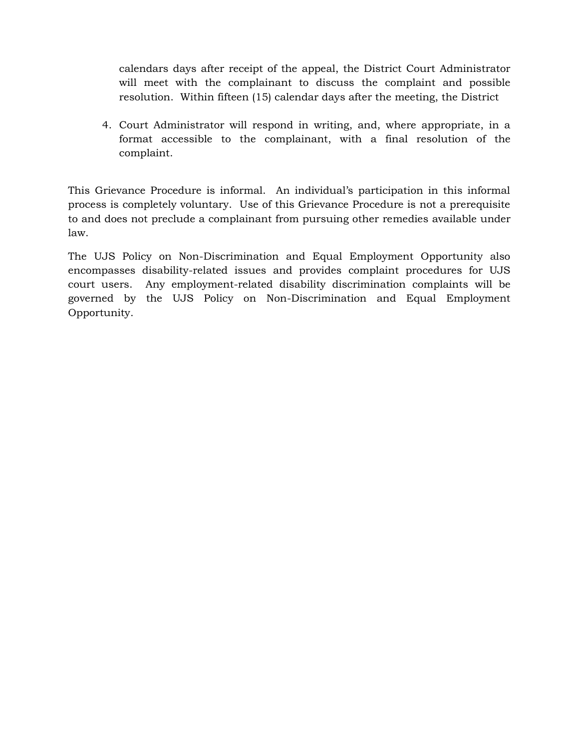calendars days after receipt of the appeal, the District Court Administrator will meet with the complainant to discuss the complaint and possible resolution. Within fifteen (15) calendar days after the meeting, the District

4. Court Administrator will respond in writing, and, where appropriate, in a format accessible to the complainant, with a final resolution of the complaint.

This Grievance Procedure is informal. An individual's participation in this informal process is completely voluntary. Use of this Grievance Procedure is not a prerequisite to and does not preclude a complainant from pursuing other remedies available under law.

The UJS Policy on Non-Discrimination and Equal Employment Opportunity also encompasses disability-related issues and provides complaint procedures for UJS court users. Any employment-related disability discrimination complaints will be governed by the UJS Policy on Non-Discrimination and Equal Employment Opportunity.